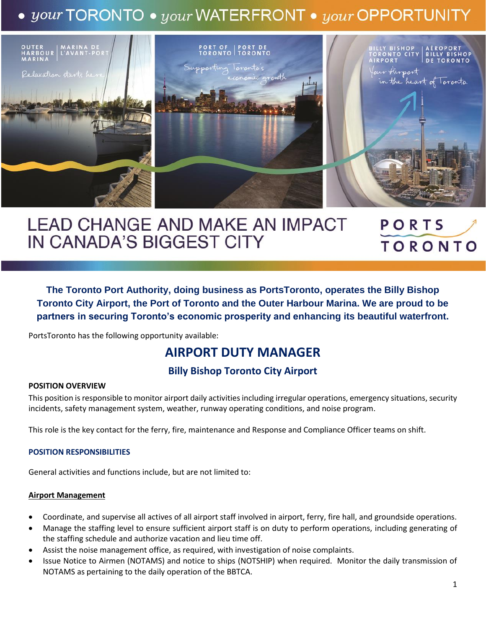# $\bullet$  your TORONTO  $\bullet$  your WATERFRONT  $\bullet$  your OPPORTUNITY



#### **LEAD CHANGE AND MAKE AN IMPACT** PORTS IN CANADA'S BIGGEST CITY **TORONTO**

**The Toronto Port Authority, doing business as PortsToronto, operates the Billy Bishop Toronto City Airport, the Port of Toronto and the Outer Harbour Marina. We are proud to be partners in securing Toronto's economic prosperity and enhancing its beautiful waterfront.**

PortsToronto has the following opportunity available:

## **AIRPORT DUTY MANAGER**

## **Billy Bishop Toronto City Airport**

#### **POSITION OVERVIEW**

This position is responsible to monitor airport daily activities including irregular operations, emergency situations, security incidents, safety management system, weather, runway operating conditions, and noise program.

This role is the key contact for the ferry, fire, maintenance and Response and Compliance Officer teams on shift.

#### **POSITION RESPONSIBILITIES**

General activities and functions include, but are not limited to:

#### **Airport Management**

- Coordinate, and supervise all actives of all airport staff involved in airport, ferry, fire hall, and groundside operations.
- Manage the staffing level to ensure sufficient airport staff is on duty to perform operations, including generating of the staffing schedule and authorize vacation and lieu time off.
- Assist the noise management office, as required, with investigation of noise complaints.
- Issue Notice to Airmen (NOTAMS) and notice to ships (NOTSHIP) when required. Monitor the daily transmission of NOTAMS as pertaining to the daily operation of the BBTCA.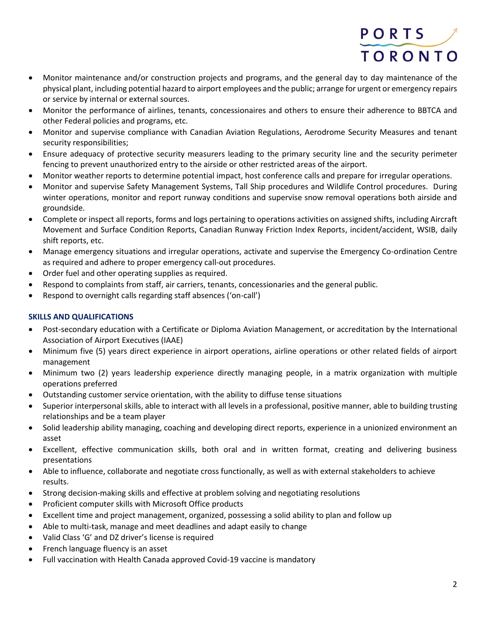

- Monitor maintenance and/or construction projects and programs, and the general day to day maintenance of the physical plant, including potential hazard to airport employees and the public; arrange for urgent or emergency repairs or service by internal or external sources.
- Monitor the performance of airlines, tenants, concessionaires and others to ensure their adherence to BBTCA and other Federal policies and programs, etc.
- Monitor and supervise compliance with Canadian Aviation Regulations, Aerodrome Security Measures and tenant security responsibilities;
- Ensure adequacy of protective security measurers leading to the primary security line and the security perimeter fencing to prevent unauthorized entry to the airside or other restricted areas of the airport.
- Monitor weather reports to determine potential impact, host conference calls and prepare for irregular operations.
- Monitor and supervise Safety Management Systems, Tall Ship procedures and Wildlife Control procedures. During winter operations, monitor and report runway conditions and supervise snow removal operations both airside and groundside.
- Complete or inspect all reports, forms and logs pertaining to operations activities on assigned shifts, including Aircraft Movement and Surface Condition Reports, Canadian Runway Friction Index Reports, incident/accident, WSIB, daily shift reports, etc.
- Manage emergency situations and irregular operations, activate and supervise the Emergency Co-ordination Centre as required and adhere to proper emergency call-out procedures.
- Order fuel and other operating supplies as required.
- Respond to complaints from staff, air carriers, tenants, concessionaries and the general public.
- Respond to overnight calls regarding staff absences ('on-call')

### **SKILLS AND QUALIFICATIONS**

- Post-secondary education with a Certificate or Diploma Aviation Management, or accreditation by the International Association of Airport Executives (IAAE)
- Minimum five (5) years direct experience in airport operations, airline operations or other related fields of airport management
- Minimum two (2) years leadership experience directly managing people, in a matrix organization with multiple operations preferred
- Outstanding customer service orientation, with the ability to diffuse tense situations
- Superior interpersonal skills, able to interact with all levels in a professional, positive manner, able to building trusting relationships and be a team player
- Solid leadership ability managing, coaching and developing direct reports, experience in a unionized environment an asset
- Excellent, effective communication skills, both oral and in written format, creating and delivering business presentations
- Able to influence, collaborate and negotiate cross functionally, as well as with external stakeholders to achieve results.
- Strong decision-making skills and effective at problem solving and negotiating resolutions
- Proficient computer skills with Microsoft Office products
- Excellent time and project management, organized, possessing a solid ability to plan and follow up
- Able to multi-task, manage and meet deadlines and adapt easily to change
- Valid Class 'G' and DZ driver's license is required
- French language fluency is an asset
- Full vaccination with Health Canada approved Covid-19 vaccine is mandatory